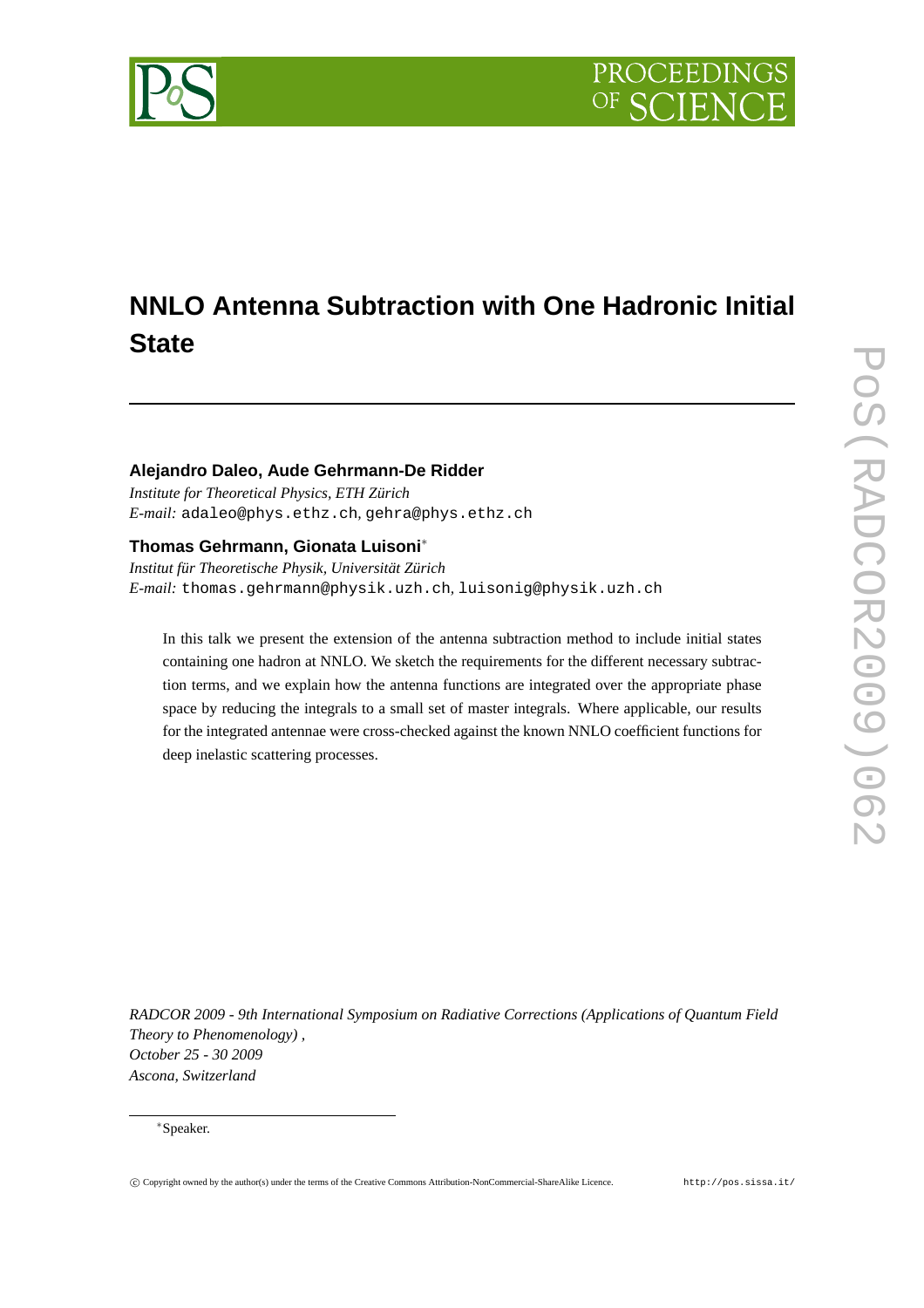



# **NNLO Antenna Subtraction with One Hadronic Initial State**

# **Alejandro Daleo, Aude Gehrmann-De Ridder**

*Institute for Theoretical Physics, ETH Zürich E-mail:* adaleo@phys.ethz.ch*,* gehra@phys.ethz.ch

# **Thomas Gehrmann, Gionata Luisoni**<sup>∗</sup>

*Institut für Theoretische Physik, Universität Zürich E-mail:* thomas.gehrmann@physik.uzh.ch*,* luisonig@physik.uzh.ch

In this talk we present the extension of the antenna subtraction method to include initial states containing one hadron at NNLO. We sketch the requirements for the different necessary subtraction terms, and we explain how the antenna functions are integrated over the appropriate phase space by reducing the integrals to a small set of master integrals. Where applicable, our results for the integrated antennae were cross-checked against the known NNLO coefficient functions for deep inelastic scattering processes.

*RADCOR 2009 - 9th International Symposium on Radiative Corrections (Applications of Quantum Field Theory to Phenomenology) , October 25 - 30 2009 Ascona, Switzerland*

<sup>∗</sup>Speaker.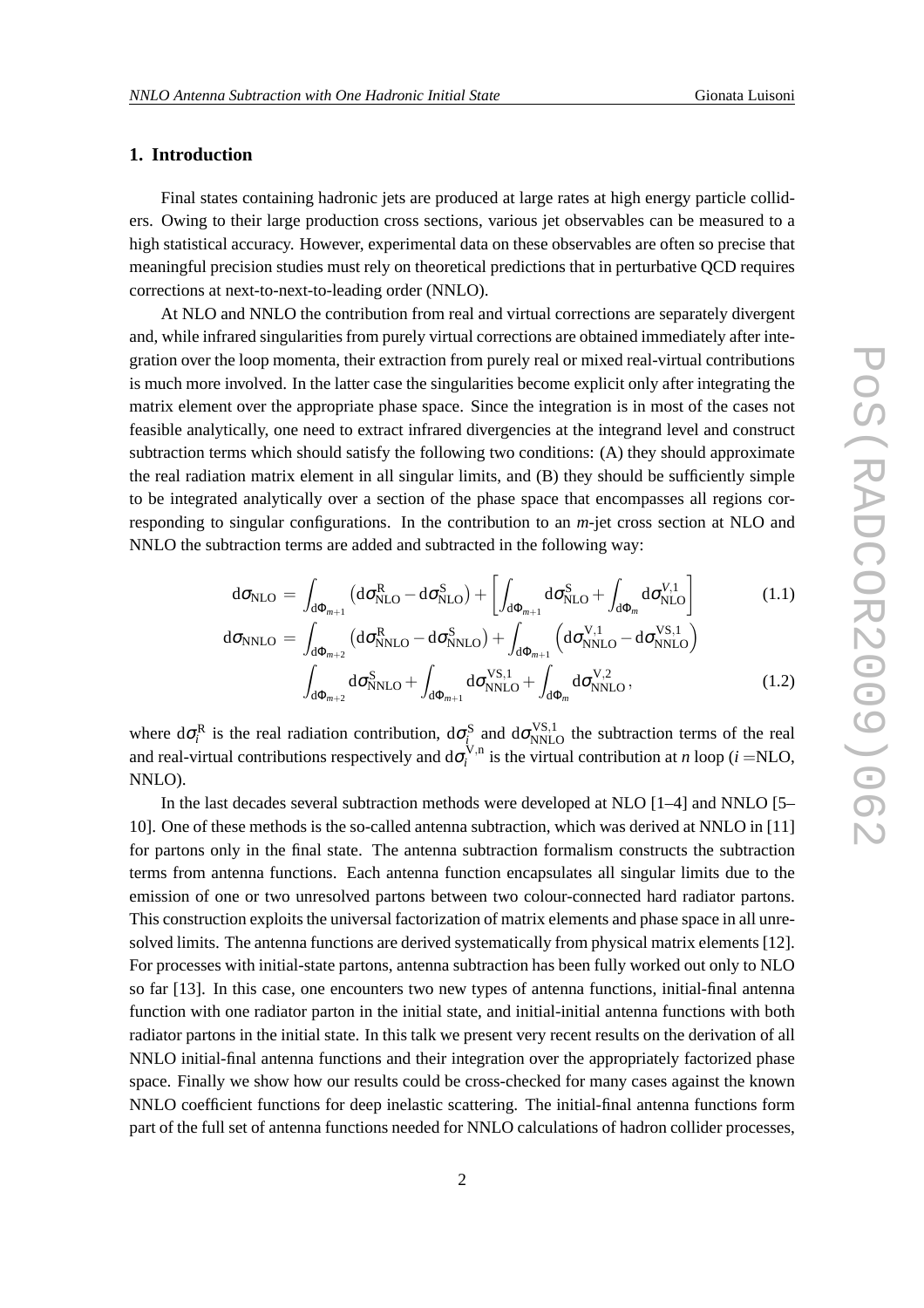# **1. Introduction**

Final states containing hadronic jets are produced at large rates at high energy particle colliders. Owing to their large production cross sections, various jet observables can be measured to a high statistical accuracy. However, experimental data on these observables are often so precise that meaningful precision studies must rely on theoretical predictions that in perturbative QCD requires corrections at next-to-next-to-leading order (NNLO).

At NLO and NNLO the contribution from real and virtual corrections are separately divergent and, while infrared singularities from purely virtual corrections are obtained immediately after integration over the loop momenta, their extraction from purely real or mixed real-virtual contributions is much more involved. In the latter case the singularities become explicit only after integrating the matrix element over the appropriate phase space. Since the integration is in most of the cases not feasible analytically, one need to extract infrared divergencies at the integrand level and construct subtraction terms which should satisfy the following two conditions: (A) they should approximate the real radiation matrix element in all singular limits, and (B) they should be sufficiently simple to be integrated analytically over a section of the phase space that encompasses all regions corresponding to singular configurations. In the contribution to an *m*-jet cross section at NLO and NNLO the subtraction terms are added and subtracted in the following way:

$$
d\sigma_{\text{NLO}} = \int_{d\Phi_{m+1}} \left( d\sigma_{\text{NLO}}^R - d\sigma_{\text{NLO}}^S \right) + \left[ \int_{d\Phi_{m+1}} d\sigma_{\text{NLO}}^S + \int_{d\Phi_m} d\sigma_{\text{NLO}}^{V,1} \right]
$$
(1.1)  

$$
d\sigma_{\text{NNLO}} = \int_{d\Phi_{m+2}} \left( d\sigma_{\text{NNLO}}^R - d\sigma_{\text{NNLO}}^S \right) + \int_{d\Phi_{m+1}} \left( d\sigma_{\text{NNLO}}^{V,1} - d\sigma_{\text{NNLO}}^{V,S,1} \right)
$$

$$
\int_{d\Phi_{m+2}} d\sigma_{NNLO}^S + \int_{d\Phi_{m+1}} d\sigma_{NNLO}^{VS,1} + \int_{d\Phi_m} d\sigma_{NNLO}^{V,2},
$$
\n(1.2)

where  $d\sigma_i^R$  is the real radiation contribution,  $d\sigma_{i}^S$  and  $d\sigma_{NNLO}^{VS,1}$  the subtraction terms of the real and real-virtual contributions respectively and  $d\sigma_i^{V,n}$  $i_i^{v,n}$  is the virtual contribution at *n* loop (*i* =NLO, NNLO).

In the last decades several subtraction methods were developed at NLO [1–4] and NNLO [5– 10]. One of these methods is the so-called antenna subtraction, which was derived at NNLO in [11] for partons only in the final state. The antenna subtraction formalism constructs the subtraction terms from antenna functions. Each antenna function encapsulates all singular limits due to the emission of one or two unresolved partons between two colour-connected hard radiator partons. This construction exploits the universal factorization of matrix elements and phase space in all unresolved limits. The antenna functions are derived systematically from physical matrix elements [12]. For processes with initial-state partons, antenna subtraction has been fully worked out only to NLO so far [13]. In this case, one encounters two new types of antenna functions, initial-final antenna function with one radiator parton in the initial state, and initial-initial antenna functions with both radiator partons in the initial state. In this talk we present very recent results on the derivation of all NNLO initial-final antenna functions and their integration over the appropriately factorized phase space. Finally we show how our results could be cross-checked for many cases against the known NNLO coefficient functions for deep inelastic scattering. The initial-final antenna functions form part of the full set of antenna functions needed for NNLO calculations of hadron collider processes,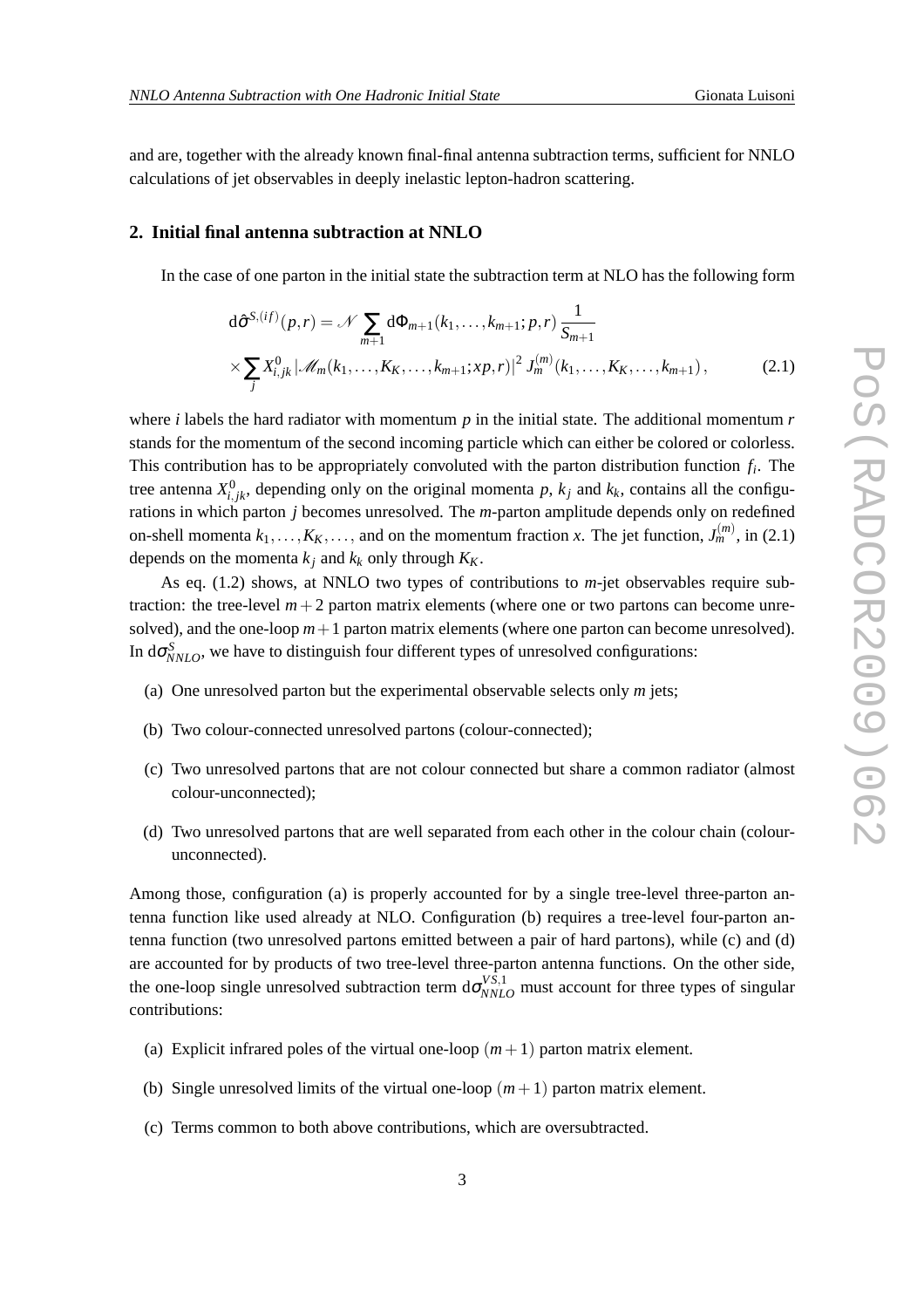and are, together with the already known final-final antenna subtraction terms, sufficient for NNLO calculations of jet observables in deeply inelastic lepton-hadron scattering.

# **2. Initial final antenna subtraction at NNLO**

In the case of one parton in the initial state the subtraction term at NLO has the following form

$$
d\hat{\sigma}^{S,(if)}(p,r) = \mathcal{N} \sum_{m+1} d\Phi_{m+1}(k_1,\ldots,k_{m+1};p,r) \frac{1}{S_{m+1}}
$$
  
 
$$
\times \sum_{j} X_{i,jk}^{0} |\mathscr{M}_m(k_1,\ldots,k_K,\ldots,k_{m+1};xp,r)|^2 J_m^{(m)}(k_1,\ldots,k_K,\ldots,k_{m+1}), \qquad (2.1)
$$

where *i* labels the hard radiator with momentum *p* in the initial state. The additional momentum *r* stands for the momentum of the second incoming particle which can either be colored or colorless. This contribution has to be appropriately convoluted with the parton distribution function *f<sup>i</sup>* . The tree antenna  $X_{i,jk}^0$ , depending only on the original momenta p,  $k_j$  and  $k_k$ , contains all the configurations in which parton *j* becomes unresolved. The *m*-parton amplitude depends only on redefined on-shell momenta  $k_1, \ldots, K_K, \ldots$ , and on the momentum fraction *x*. The jet function,  $J_m^{(m)}$ , in (2.1) depends on the momenta  $k_j$  and  $k_k$  only through  $K_K$ .

As eq. (1.2) shows, at NNLO two types of contributions to *m*-jet observables require subtraction: the tree-level  $m+2$  parton matrix elements (where one or two partons can become unresolved), and the one-loop  $m+1$  parton matrix elements (where one parton can become unresolved). In  $d\sigma_{NNLO}^S$ , we have to distinguish four different types of unresolved configurations:

- (a) One unresolved parton but the experimental observable selects only *m* jets;
- (b) Two colour-connected unresolved partons (colour-connected);
- (c) Two unresolved partons that are not colour connected but share a common radiator (almost colour-unconnected);
- (d) Two unresolved partons that are well separated from each other in the colour chain (colourunconnected).

Among those, configuration (a) is properly accounted for by a single tree-level three-parton antenna function like used already at NLO. Configuration (b) requires a tree-level four-parton antenna function (two unresolved partons emitted between a pair of hard partons), while (c) and (d) are accounted for by products of two tree-level three-parton antenna functions. On the other side, the one-loop single unresolved subtraction term  $d\sigma_{NNLO}^{VS,1}$  must account for three types of singular contributions:

- (a) Explicit infrared poles of the virtual one-loop  $(m+1)$  parton matrix element.
- (b) Single unresolved limits of the virtual one-loop  $(m+1)$  parton matrix element.
- (c) Terms common to both above contributions, which are oversubtracted.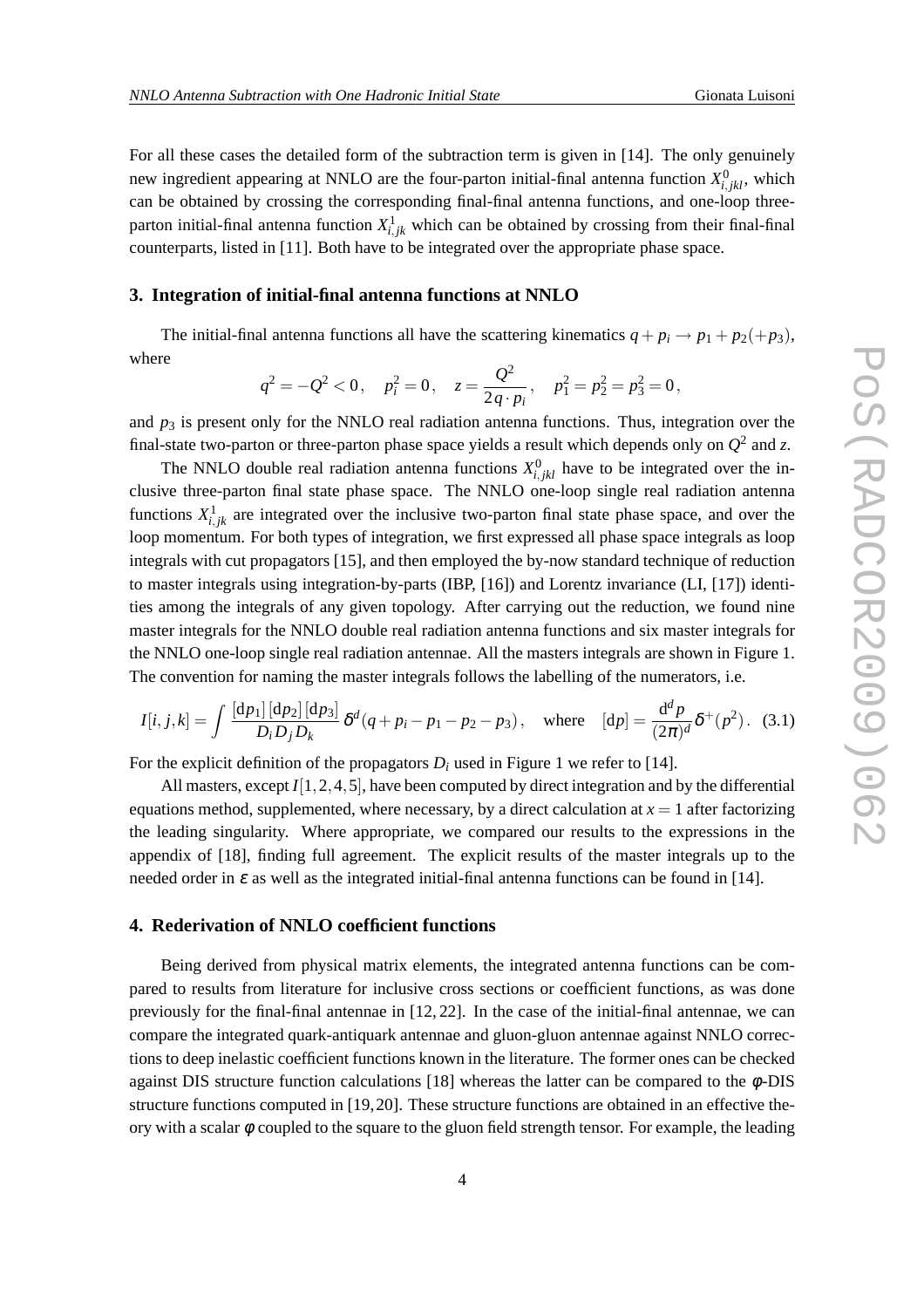For all these cases the detailed form of the subtraction term is given in [14]. The only genuinely new ingredient appearing at NNLO are the four-parton initial-final antenna function  $X_{i,jkl}^0$ , which can be obtained by crossing the corresponding final-final antenna functions, and one-loop threeparton initial-final antenna function  $X_{i,j,k}^1$  which can be obtained by crossing from their final-final counterparts, listed in [11]. Both have to be integrated over the appropriate phase space.

### **3. Integration of initial-final antenna functions at NNLO**

The initial-final antenna functions all have the scattering kinematics  $q + p_i \rightarrow p_1 + p_2 + p_3$ , where

$$
q^2 = -Q^2 < 0
$$
,  $p_i^2 = 0$ ,  $z = \frac{Q^2}{2q \cdot p_i}$ ,  $p_1^2 = p_2^2 = p_3^2 = 0$ ,

and  $p_3$  is present only for the NNLO real radiation antenna functions. Thus, integration over the final-state two-parton or three-parton phase space yields a result which depends only on  $Q^2$  and *z*.

The NNLO double real radiation antenna functions  $X_{i,jkl}^0$  have to be integrated over the inclusive three-parton final state phase space. The NNLO one-loop single real radiation antenna functions  $X_{i,j,k}^1$  are integrated over the inclusive two-parton final state phase space, and over the loop momentum. For both types of integration, we first expressed all phase space integrals as loop integrals with cut propagators [15], and then employed the by-now standard technique of reduction to master integrals using integration-by-parts (IBP, [16]) and Lorentz invariance (LI, [17]) identities among the integrals of any given topology. After carrying out the reduction, we found nine master integrals for the NNLO double real radiation antenna functions and six master integrals for the NNLO one-loop single real radiation antennae. All the masters integrals are shown in Figure 1. The convention for naming the master integrals follows the labelling of the numerators, i.e.

$$
I[i, j, k] = \int \frac{[dp_1][dp_2][dp_3]}{D_i D_j D_k} \delta^d(q + p_i - p_1 - p_2 - p_3), \text{ where } [dp] = \frac{d^d p}{(2\pi)^d} \delta^+(p^2). \tag{3.1}
$$

For the explicit definition of the propagators  $D_i$  used in Figure 1 we refer to [14].

All masters, except *I*[1,2,4,5], have been computed by direct integration and by the differential equations method, supplemented, where necessary, by a direct calculation at  $x = 1$  after factorizing the leading singularity. Where appropriate, we compared our results to the expressions in the appendix of [18], finding full agreement. The explicit results of the master integrals up to the needed order in  $\varepsilon$  as well as the integrated initial-final antenna functions can be found in [14].

#### **4. Rederivation of NNLO coefficient functions**

Being derived from physical matrix elements, the integrated antenna functions can be compared to results from literature for inclusive cross sections or coefficient functions, as was done previously for the final-final antennae in [12, 22]. In the case of the initial-final antennae, we can compare the integrated quark-antiquark antennae and gluon-gluon antennae against NNLO corrections to deep inelastic coefficient functions known in the literature. The former ones can be checked against DIS structure function calculations  $[18]$  whereas the latter can be compared to the  $\phi$ -DIS structure functions computed in [19,20]. These structure functions are obtained in an effective theory with a scalar  $\phi$  coupled to the square to the gluon field strength tensor. For example, the leading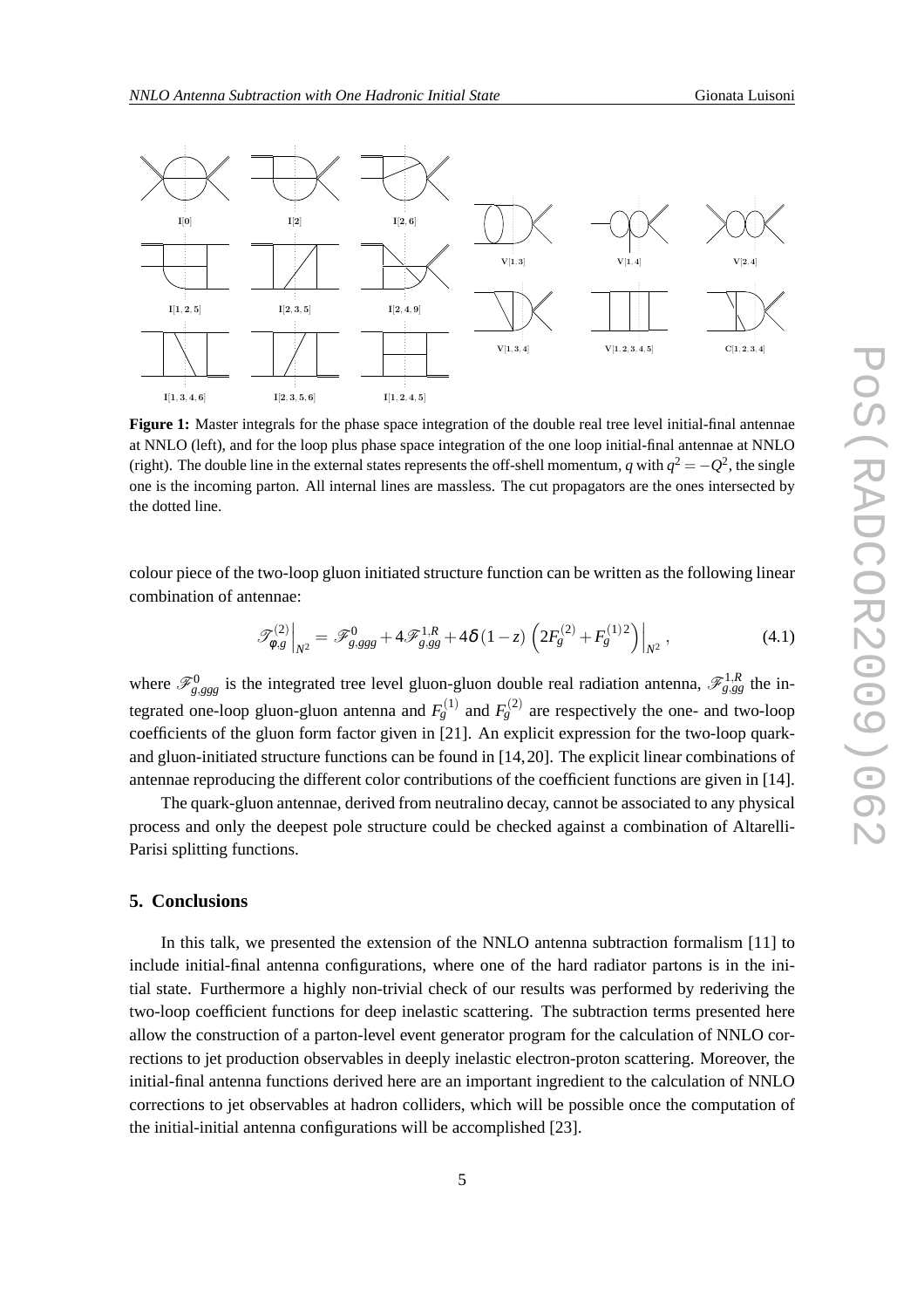

**Figure 1:** Master integrals for the phase space integration of the double real tree level initial-final antennae at NNLO (left), and for the loop plus phase space integration of the one loop initial-final antennae at NNLO (right). The double line in the external states represents the off-shell momentum, *q* with  $q^2 = -Q^2$ , the single one is the incoming parton. All internal lines are massless. The cut propagators are the ones intersected by the dotted line.

colour piece of the two-loop gluon initiated structure function can be written as the following linear combination of antennae:

$$
\mathscr{T}_{\phi,g}^{(2)}\Big|_{N^2} = \mathscr{F}_{g,ggg}^0 + 4\mathscr{F}_{g,gg}^{1,R} + 4\delta(1-z)\left(2F_g^{(2)} + F_g^{(1)2}\right)\Big|_{N^2},\tag{4.1}
$$

where  $\mathscr{F}_{g,ggg}^0$  is the integrated tree level gluon-gluon double real radiation antenna,  $\mathscr{F}_{g,ggg}^{1,R}$  the integrated one-loop gluon-gluon antenna and  $F_g^{(1)}$  and  $F_g^{(2)}$  are respectively the one- and two-loop coefficients of the gluon form factor given in [21]. An explicit expression for the two-loop quarkand gluon-initiated structure functions can be found in [14,20]. The explicit linear combinations of antennae reproducing the different color contributions of the coefficient functions are given in [14].

The quark-gluon antennae, derived from neutralino decay, cannot be associated to any physical process and only the deepest pole structure could be checked against a combination of Altarelli-Parisi splitting functions.

#### **5. Conclusions**

In this talk, we presented the extension of the NNLO antenna subtraction formalism [11] to include initial-final antenna configurations, where one of the hard radiator partons is in the initial state. Furthermore a highly non-trivial check of our results was performed by rederiving the two-loop coefficient functions for deep inelastic scattering. The subtraction terms presented here allow the construction of a parton-level event generator program for the calculation of NNLO corrections to jet production observables in deeply inelastic electron-proton scattering. Moreover, the initial-final antenna functions derived here are an important ingredient to the calculation of NNLO corrections to jet observables at hadron colliders, which will be possible once the computation of the initial-initial antenna configurations will be accomplished [23].